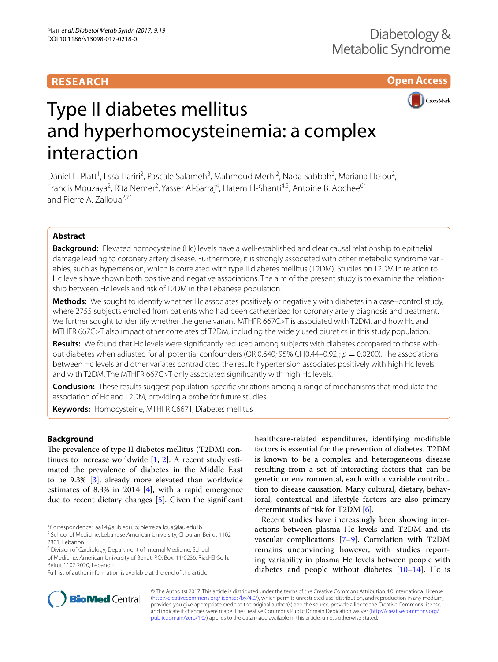## **RESEARCH**

**Open Access**



# Type II diabetes mellitus and hyperhomocysteinemia: a complex interaction

Daniel E. Platt<sup>1</sup>, Essa Hariri<sup>2</sup>, Pascale Salameh<sup>3</sup>, Mahmoud Merhi<sup>2</sup>, Nada Sabbah<sup>2</sup>, Mariana Helou<sup>2</sup>, Francis Mouzaya<sup>2</sup>, Rita Nemer<sup>2</sup>, Yasser Al-Sarraj<sup>4</sup>, Hatem El-Shanti<sup>4,5</sup>, Antoine B. Abchee<sup>6\*</sup> and Pierre A. Zalloua<sup>2,7\*</sup>

## **Abstract**

**Background:** Elevated homocysteine (Hc) levels have a well-established and clear causal relationship to epithelial damage leading to coronary artery disease. Furthermore, it is strongly associated with other metabolic syndrome variables, such as hypertension, which is correlated with type II diabetes mellitus (T2DM). Studies on T2DM in relation to Hc levels have shown both positive and negative associations. The aim of the present study is to examine the relationship between Hc levels and risk of T2DM in the Lebanese population.

**Methods:** We sought to identify whether Hc associates positively or negatively with diabetes in a case–control study, where 2755 subjects enrolled from patients who had been catheterized for coronary artery diagnosis and treatment. We further sought to identify whether the gene variant MTHFR 667C>T is associated with T2DM, and how Hc and MTHFR 667C>T also impact other correlates of T2DM, including the widely used diuretics in this study population.

**Results:** We found that Hc levels were significantly reduced among subjects with diabetes compared to those with‑ out diabetes when adjusted for all potential confounders (OR 0.640; 95% CI [0.44–0.92];  $p = 0.0200$ ). The associations between Hc levels and other variates contradicted the result: hypertension associates positively with high Hc levels, and with T2DM. The MTHFR 667C>T only associated significantly with high Hc levels.

**Conclusion:** These results suggest population-specific variations among a range of mechanisms that modulate the association of Hc and T2DM, providing a probe for future studies.

**Keywords:** Homocysteine, MTHFR C667T, Diabetes mellitus

## **Background**

The prevalence of type II diabetes mellitus (T2DM) continues to increase worldwide [\[1](#page-5-0), [2\]](#page-5-1). A recent study estimated the prevalence of diabetes in the Middle East to be 9.3% [[3\]](#page-5-2), already more elevated than worldwide estimates of 8.3% in 2014  $[4]$  $[4]$ , with a rapid emergence due to recent dietary changes [\[5](#page-6-1)]. Given the significant

healthcare-related expenditures, identifying modifiable factors is essential for the prevention of diabetes. T2DM is known to be a complex and heterogeneous disease resulting from a set of interacting factors that can be genetic or environmental, each with a variable contribution to disease causation. Many cultural, dietary, behavioral, contextual and lifestyle factors are also primary determinants of risk for T2DM [[6\]](#page-6-2).

Recent studies have increasingly been showing interactions between plasma Hc levels and T2DM and its vascular complications [[7–](#page-6-3)[9\]](#page-6-4). Correlation with T2DM remains unconvincing however, with studies reporting variability in plasma Hc levels between people with diabetes and people without diabetes  $[10-14]$  $[10-14]$ . Hc is



© The Author(s) 2017. This article is distributed under the terms of the Creative Commons Attribution 4.0 International License [\(http://creativecommons.org/licenses/by/4.0/\)](http://creativecommons.org/licenses/by/4.0/), which permits unrestricted use, distribution, and reproduction in any medium, provided you give appropriate credit to the original author(s) and the source, provide a link to the Creative Commons license, and indicate if changes were made. The Creative Commons Public Domain Dedication waiver ([http://creativecommons.org/](http://creativecommons.org/publicdomain/zero/1.0/) [publicdomain/zero/1.0/](http://creativecommons.org/publicdomain/zero/1.0/)) applies to the data made available in this article, unless otherwise stated.

<sup>\*</sup>Correspondence: aa14@aub.edu.lb; pierre.zalloua@lau.edu.lb

<sup>&</sup>lt;sup>2</sup> School of Medicine, Lebanese American University, Chouran, Beirut 1102 2801, Lebanon

<sup>&</sup>lt;sup>6</sup> Division of Cardiology, Department of Internal Medicine, School of Medicine, American University of Beirut, P.O. Box: 11‑0236, Riad‑El‑Solh, Beirut 1107 2020, Lebanon

Full list of author information is available at the end of the article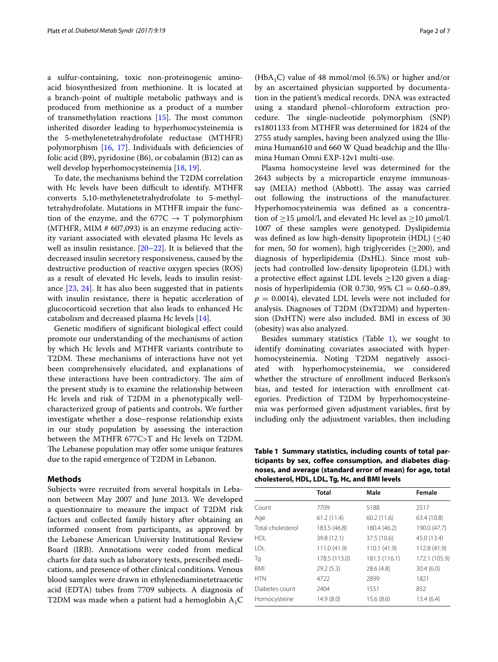a sulfur-containing, toxic non-proteinogenic aminoacid biosynthesized from methionine. It is located at a branch-point of multiple metabolic pathways and is produced from methionine as a product of a number of transmethylation reactions [\[15\]](#page-6-7). The most common inherited disorder leading to hyperhomocysteinemia is the 5-methylenetetrahydrofolate reductase (MTHFR) polymorphism [\[16,](#page-6-8) [17\]](#page-6-9). Individuals with deficiencies of folic acid (B9), pyridoxine (B6), or cobalamin (B12) can as well develop hyperhomocysteinemia [\[18,](#page-6-10) [19](#page-6-11)].

To date, the mechanisms behind the T2DM correlation with Hc levels have been difficult to identify. MTHFR converts 5,10-methylenetetrahydrofolate to 5-methyltetrahydrofolate. Mutations in MTHFR impair the function of the enzyme, and the 677C  $\rightarrow$  T polymorphism (MTHFR, MIM # 607,093) is an enzyme reducing activity variant associated with elevated plasma Hc levels as well as insulin resistance.  $[20-22]$  $[20-22]$  $[20-22]$ . It is believed that the decreased insulin secretory responsiveness, caused by the destructive production of reactive oxygen species (ROS) as a result of elevated Hc levels, leads to insulin resistance [[23,](#page-6-14) [24\]](#page-6-15). It has also been suggested that in patients with insulin resistance, there is hepatic acceleration of glucocorticoid secretion that also leads to enhanced Hc catabolism and decreased plasma Hc levels [[14](#page-6-6)].

Genetic modifiers of significant biological effect could promote our understanding of the mechanisms of action by which Hc levels and MTHFR variants contribute to T2DM. These mechanisms of interactions have not yet been comprehensively elucidated, and explanations of these interactions have been contradictory. The aim of the present study is to examine the relationship between Hc levels and risk of T2DM in a phenotypically wellcharacterized group of patients and controls. We further investigate whether a dose–response relationship exists in our study population by assessing the interaction between the MTHFR 677C>T and Hc levels on T2DM. The Lebanese population may offer some unique features due to the rapid emergence of T2DM in Lebanon.

## **Methods**

Subjects were recruited from several hospitals in Lebanon between May 2007 and June 2013. We developed a questionnaire to measure the impact of T2DM risk factors and collected family history after obtaining an informed consent from participants, as approved by the Lebanese American University Institutional Review Board (IRB). Annotations were coded from medical charts for data such as laboratory tests, prescribed medications, and presence of other clinical conditions. Venous blood samples were drawn in ethylenediaminetetraacetic acid (EDTA) tubes from 7709 subjects. A diagnosis of T2DM was made when a patient had a hemoglobin  $A_1C$ 

(HbA<sub>1</sub>C) value of 48 mmol/mol (6.5%) or higher and/or by an ascertained physician supported by documentation in the patient's medical records. DNA was extracted using a standard phenol–chloroform extraction procedure. The single-nucleotide polymorphism (SNP) rs1801133 from MTHFR was determined for 1824 of the 2755 study samples, having been analyzed using the Illumina Human610 and 660 W Quad beadchip and the Illumina Human Omni EXP-12v1 multi-use.

Plasma homocysteine level was determined for the 2643 subjects by a microparticle enzyme immunoassay (MEIA) method (Abbott). The assay was carried out following the instructions of the manufacturer. Hyperhomocysteinemia was defined as a concentration of  $\geq$ 15  $\mu$ mol/l, and elevated Hc level as  $\geq$ 10  $\mu$ mol/l. 1007 of these samples were genotyped. Dyslipidemia was defined as low high-density lipoprotein (HDL)  $(\leq 40)$ for men, 50 for women), high triglycerides ( $\geq$ 200), and diagnosis of hyperlipidemia (DxHL). Since most subjects had controlled low-density lipoprotein (LDL) with a protective effect against LDL levels ≥120 given a diagnosis of hyperlipidemia (OR 0.730, 95% CI =  $0.60-0.89$ ,  $p = 0.0014$ , elevated LDL levels were not included for analysis. Diagnoses of T2DM (DxT2DM) and hypertension (DxHTN) were also included. BMI in excess of 30 (obesity) was also analyzed.

Besides summary statistics (Table  $1$ ), we sought to identify dominating covariates associated with hyperhomocysteinemia. Noting T2DM negatively associated with hyperhomocysteinemia, we considered whether the structure of enrollment induced Berkson's bias, and tested for interaction with enrollment categories. Prediction of T2DM by hyperhomocysteinemia was performed given adjustment variables, first by including only the adjustment variables, then including

<span id="page-1-0"></span>**Table 1 Summary statistics, including counts of total participants by sex, coffee consumption, and diabetes diagnoses, and average (standard error of mean) for age, total cholesterol, HDL, LDL, Tg, Hc, and BMI levels**

|                   | <b>Total</b>  | Male          | Female        |
|-------------------|---------------|---------------|---------------|
| Count             | 7709          | 5188          | 2517          |
| Age               | 61.2(11.4)    | 60.2(11.6)    | 63.4 (10.8)   |
| Total cholesterol | 183.5 (46.8)  | 180.4 (46.2)  | 190.0 (47.7)  |
| <b>HDL</b>        | 39.8 (12.1)   | 37.5 (10.6)   | 45.0 (13.4)   |
| I DI              | 111.0 (41.9)  | 110.1 (41.9)  | 112.8 (41.9)  |
| Tg                | 178.5 (113.0) | 181.5 (116.1) | 172.1 (105.9) |
| <b>BMI</b>        | 29.2(5.3)     | 28.6(4.8)     | 30.4(6.0)     |
| <b>HTN</b>        | 4722          | 2899          | 1821          |
| Diabetes count    | 2404          | 1551          | 852           |
| Homocysteine      | 14.9 (8.0)    | 15.6(8.6)     | 13.4(6.4)     |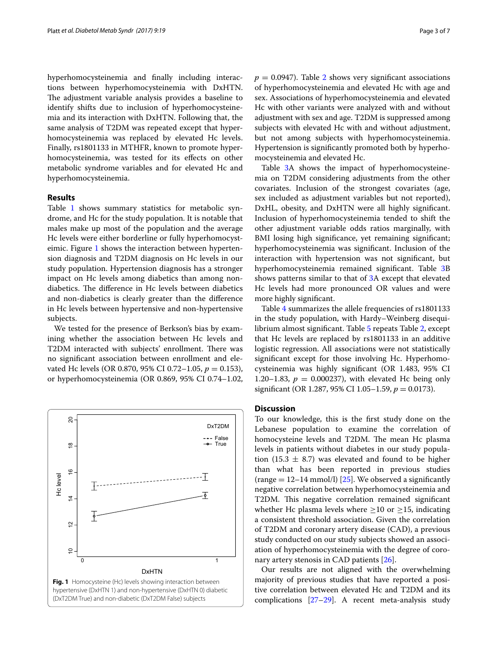hyperhomocysteinemia and finally including interactions between hyperhomocysteinemia with DxHTN. The adjustment variable analysis provides a baseline to identify shifts due to inclusion of hyperhomocysteinemia and its interaction with DxHTN. Following that, the same analysis of T2DM was repeated except that hyperhomocysteinemia was replaced by elevated Hc levels. Finally, rs1801133 in MTHFR, known to promote hyperhomocysteinemia, was tested for its effects on other metabolic syndrome variables and for elevated Hc and hyperhomocysteinemia.

### **Results**

Table [1](#page-1-0) shows summary statistics for metabolic syndrome, and Hc for the study population. It is notable that males make up most of the population and the average Hc levels were either borderline or fully hyperhomocysteimic. Figure [1](#page-2-0) shows the interaction between hypertension diagnosis and T2DM diagnosis on Hc levels in our study population. Hypertension diagnosis has a stronger impact on Hc levels among diabetics than among nondiabetics. The difference in Hc levels between diabetics and non-diabetics is clearly greater than the difference in Hc levels between hypertensive and non-hypertensive subjects.

We tested for the presence of Berkson's bias by examining whether the association between Hc levels and T2DM interacted with subjects' enrollment. There was no significant association between enrollment and elevated Hc levels (OR 0.870, 95% CI 0.72–1.05, *p* = 0.153), or hyperhomocysteinemia (OR 0.869, 95% CI 0.74–1.02,

<span id="page-2-0"></span>

 $p = 0.0947$ ). Table [2](#page-3-0) shows very significant associations of hyperhomocysteinemia and elevated Hc with age and sex. Associations of hyperhomocysteinemia and elevated Hc with other variants were analyzed with and without adjustment with sex and age. T2DM is suppressed among subjects with elevated Hc with and without adjustment, but not among subjects with hyperhomocysteinemia. Hypertension is significantly promoted both by hyperhomocysteinemia and elevated Hc.

Table [3](#page-3-1)A shows the impact of hyperhomocysteinemia on T2DM considering adjustments from the other covariates. Inclusion of the strongest covariates (age, sex included as adjustment variables but not reported), DxHL, obesity, and DxHTN were all highly significant. Inclusion of hyperhomocysteinemia tended to shift the other adjustment variable odds ratios marginally, with BMI losing high significance, yet remaining significant; hyperhomocysteinemia was significant. Inclusion of the interaction with hypertension was not significant, but hyperhomocysteinemia remained significant. Table [3B](#page-3-1) shows patterns similar to that of [3A](#page-3-1) except that elevated Hc levels had more pronounced OR values and were more highly significant.

Table [4](#page-4-0) summarizes the allele frequencies of rs1801133 in the study population, with Hardy–Weinberg disequilibrium almost significant. Table [5](#page-4-1) repeats Table [2,](#page-3-0) except that Hc levels are replaced by rs1801133 in an additive logistic regression. All associations were not statistically significant except for those involving Hc. Hyperhomocysteinemia was highly significant (OR 1.483, 95% CI 1.20–1.83,  $p = 0.000237$ , with elevated Hc being only significant (OR 1.287, 95% CI 1.05–1.59, *p* = 0.0173).

## **Discussion**

To our knowledge, this is the first study done on the Lebanese population to examine the correlation of homocysteine levels and T2DM. The mean Hc plasma levels in patients without diabetes in our study population (15.3  $\pm$  8.7) was elevated and found to be higher than what has been reported in previous studies (range  $= 12-14$  mmol/l) [[25](#page-6-16)]. We observed a significantly negative correlation between hyperhomocysteinemia and T2DM. This negative correlation remained significant whether Hc plasma levels where  $\geq 10$  or  $\geq 15$ , indicating a consistent threshold association. Given the correlation of T2DM and coronary artery disease (CAD), a previous study conducted on our study subjects showed an association of hyperhomocysteinemia with the degree of coronary artery stenosis in CAD patients [[26\]](#page-6-17).

Our results are not aligned with the overwhelming majority of previous studies that have reported a positive correlation between elevated Hc and T2DM and its complications [\[27](#page-6-18)–[29\]](#page-6-19). A recent meta-analysis study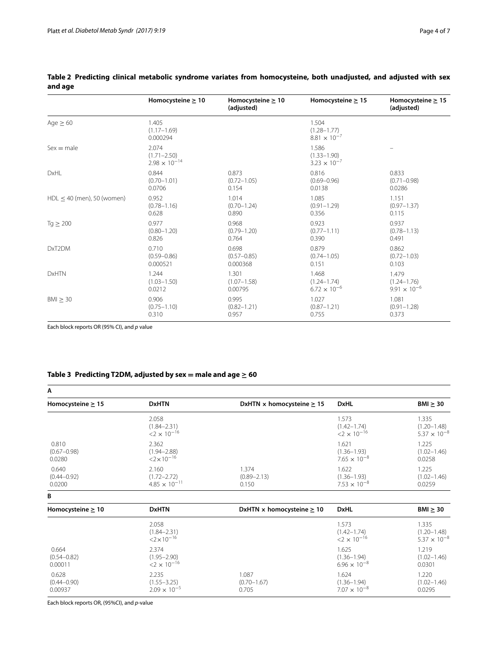|                              | Homocysteine $\geq 10$                             | Homocysteine $\geq 10$<br>(adjusted) | Homocysteine $\geq 15$                            | Homocysteine $\geq 15$<br>(adjusted) |
|------------------------------|----------------------------------------------------|--------------------------------------|---------------------------------------------------|--------------------------------------|
| Age $\geq 60$                | 1.405<br>$(1.17 - 1.69)$<br>0.000294               |                                      | 1.504<br>$(1.28 - 1.77)$<br>$8.81 \times 10^{-7}$ |                                      |
| $Sex = male$                 | 2.074<br>$(1.71 - 2.50)$<br>$2.98 \times 10^{-14}$ |                                      | 1.586<br>$(1.33 - 1.90)$<br>$3.23 \times 10^{-7}$ |                                      |
| <b>DxHL</b>                  | 0.844                                              | 0.873                                | 0.816                                             | 0.833                                |
|                              | $(0.70 - 1.01)$                                    | $(0.72 - 1.05)$                      | $(0.69 - 0.96)$                                   | $(0.71 - 0.98)$                      |
|                              | 0.0706                                             | 0.154                                | 0.0138                                            | 0.0286                               |
| $HDL < 40$ (men), 50 (women) | 0.952                                              | 1.014                                | 1.085                                             | 1.151                                |
|                              | $(0.78 - 1.16)$                                    | $(0.70 - 1.24)$                      | $(0.91 - 1.29)$                                   | $(0.97 - 1.37)$                      |
|                              | 0.628                                              | 0.890                                | 0.356                                             | 0.115                                |
| $Tq \geq 200$                | 0.977                                              | 0.968                                | 0.923                                             | 0.937                                |
|                              | $(0.80 - 1.20)$                                    | $(0.79 - 1.20)$                      | $(0.77 - 1.11)$                                   | $(0.78 - 1.13)$                      |
|                              | 0.826                                              | 0.764                                | 0.390                                             | 0.491                                |
| DxT2DM                       | 0.710                                              | 0.698                                | 0.879                                             | 0.862                                |
|                              | $(0.59 - 0.86)$                                    | $(0.57 - 0.85)$                      | $(0.74 - 1.05)$                                   | $(0.72 - 1.03)$                      |
|                              | 0.000521                                           | 0.000368                             | 0.151                                             | 0.103                                |
| <b>DxHTN</b>                 | 1.244                                              | 1.301                                | 1.468                                             | 1.479                                |
|                              | $(1.03 - 1.50)$                                    | $(1.07 - 1.58)$                      | $(1.24 - 1.74)$                                   | $(1.24 - 1.76)$                      |
|                              | 0.0212                                             | 0.00795                              | $6.72 \times 10^{-6}$                             | $9.91 \times 10^{-6}$                |
| $BMI \geq 30$                | 0.906                                              | 0.995                                | 1.027                                             | 1.081                                |
|                              | $(0.75 - 1.10)$                                    | $(0.82 - 1.21)$                      | $(0.87 - 1.21)$                                   | $(0.91 - 1.28)$                      |
|                              | 0.310                                              | 0.957                                | 0.755                                             | 0.373                                |

## <span id="page-3-0"></span>**Table 2 Predicting clinical metabolic syndrome variates from homocysteine, both unadjusted, and adjusted with sex and age**

Each block reports OR (95% CI), and *p* value

## <span id="page-3-1"></span>Table 3 Predicting T2DM, adjusted by sex  $=$  male and age  $\geq 60$

| A                                   |                                                              |                                   |                                                              |                                                   |
|-------------------------------------|--------------------------------------------------------------|-----------------------------------|--------------------------------------------------------------|---------------------------------------------------|
| Homocysteine $\geq 15$              | <b>DxHTN</b>                                                 | DxHTN x homocysteine $\geq$ 15    | <b>DxHL</b>                                                  | $BMI \geq 30$                                     |
|                                     | 2.058<br>$(1.84 - 2.31)$<br>$<$ 2 $\times$ 10 <sup>-16</sup> |                                   | 1.573<br>$(1.42 - 1.74)$<br>$<$ 2 $\times$ 10 <sup>-16</sup> | 1.335<br>$(1.20 - 1.48)$<br>$5.37 \times 10^{-8}$ |
| 0.810<br>$(0.67 - 0.98)$<br>0.0280  | 2.362<br>$(1.94 - 2.88)$<br>$<2\times10^{-16}$               |                                   | 1.621<br>$(1.36 - 1.93)$<br>$7.65 \times 10^{-8}$            | 1.225<br>$(1.02 - 1.46)$<br>0.0258                |
| 0.640<br>$(0.44 - 0.92)$<br>0.0200  | 2.160<br>$(1.72 - 2.72)$<br>$4.85 \times 10^{-11}$           | 1.374<br>$(0.89 - 2.13)$<br>0.150 | 1.622<br>$(1.36 - 1.93)$<br>$7.53 \times 10^{-8}$            | 1.225<br>$(1.02 - 1.46)$<br>0.0259                |
| В                                   |                                                              |                                   |                                                              |                                                   |
| Homocysteine $\geq 10$              | <b>DxHTN</b>                                                 | DxHTN x homocysteine $\geq 10$    | <b>DxHL</b>                                                  | $BMI \geq 30$                                     |
|                                     | 2.058<br>$(1.84 - 2.31)$<br>$<2\times10^{-16}$               |                                   | 1.573<br>$(1.42 - 1.74)$<br>$<$ 2 $\times$ 10 <sup>-16</sup> | 1.335<br>$(1.20 - 1.48)$<br>$5.37 \times 10^{-8}$ |
| 0.664<br>$(0.54 - 0.82)$<br>0.00011 | 2.374<br>$(1.95 - 2.90)$<br>$<$ 2 $\times$ 10 <sup>-16</sup> |                                   | 1.625<br>$(1.36 - 1.94)$<br>$6.96 \times 10^{-8}$            | 1.219<br>$(1.02 - 1.46)$<br>0.0301                |
| 0.628<br>$(0.44 - 0.90)$<br>0.00937 | 2.235<br>$(1.55 - 3.25)$<br>$2.09\times10^{-5}$              | 1.087<br>$(0.70 - 1.67)$<br>0.705 | 1.624<br>$(1.36 - 1.94)$<br>$7.07 \times 10^{-8}$            | 1.220<br>$(1.02 - 1.46)$<br>0.0295                |

Each block reports OR, (95%CI), and *p*-value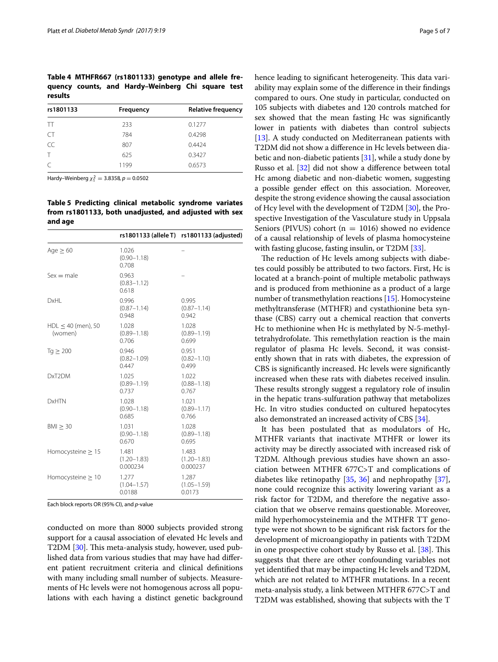<span id="page-4-0"></span>**Table 4 MTHFR667 (rs1801133) genotype and allele frequency counts, and Hardy–Weinberg Chi square test results**

| rs1801133 | Frequency | <b>Relative frequency</b> |
|-----------|-----------|---------------------------|
| TT        | 233       | 0.1277                    |
| CT.       | 784       | 0.4298                    |
| CC        | 807       | 0.4424                    |
|           | 625       | 0.3427                    |
|           | 1199      | 0.6573                    |

Hardy–Weinberg  $\chi_1^2 = 3.8358$ ,  $p = 0.0502$ 

<span id="page-4-1"></span>**Table 5 Predicting clinical metabolic syndrome variates from rs1801133, both unadjusted, and adjusted with sex and age**

|                                    |                                      | rs1801133 (allele T) rs1801133 (adjusted) |
|------------------------------------|--------------------------------------|-------------------------------------------|
| Age $\geq 60$                      | 1.026<br>$(0.90 - 1.18)$<br>0.708    |                                           |
| $Sex = male$                       | 0.963<br>$(0.83 - 1.12)$<br>0.618    |                                           |
| DxHI                               | 0.996<br>$(0.87 - 1.14)$<br>0.948    | 0.995<br>$(0.87 - 1.14)$<br>0.942         |
| $HDL \leq 40$ (men), 50<br>(women) | 1.028<br>$(0.89 - 1.18)$<br>0.706    | 1.028<br>$(0.89 - 1.19)$<br>0.699         |
| $Tq \geq 200$                      | 0.946<br>$(0.82 - 1.09)$<br>0.447    | 0.951<br>$(0.82 - 1.10)$<br>0.499         |
| DxT <sub>2</sub> DM                | 1.025<br>$(0.89 - 1.19)$<br>0.737    | 1.022<br>$(0.88 - 1.18)$<br>0.767         |
| <b>DxHTN</b>                       | 1.028<br>$(0.90 - 1.18)$<br>0.685    | 1.021<br>$(0.89 - 1.17)$<br>0.766         |
| BM > 30                            | 1.031<br>$(0.90 - 1.18)$<br>0.670    | 1.028<br>$(0.89 - 1.18)$<br>0.695         |
| Homocysteine $\geq$ 15             | 1.481<br>$(1.20 - 1.83)$<br>0.000234 | 1.483<br>$(1.20 - 1.83)$<br>0.000237      |
| Homocysteine $\geq 10$             | 1.277<br>$(1.04 - 1.57)$<br>0.0188   | 1.287<br>$(1.05 - 1.59)$<br>0.0173        |

Each block reports OR (95% CI), and *p*-value

conducted on more than 8000 subjects provided strong support for a causal association of elevated Hc levels and T2DM [\[30\]](#page-6-20). This meta-analysis study, however, used published data from various studies that may have had different patient recruitment criteria and clinical definitions with many including small number of subjects. Measurements of Hc levels were not homogenous across all populations with each having a distinct genetic background hence leading to significant heterogeneity. This data variability may explain some of the difference in their findings compared to ours. One study in particular, conducted on 105 subjects with diabetes and 120 controls matched for sex showed that the mean fasting Hc was significantly lower in patients with diabetes than control subjects [[13\]](#page-6-21). A study conducted on Mediterranean patients with T2DM did not show a difference in Hc levels between diabetic and non-diabetic patients [\[31\]](#page-6-22), while a study done by Russo et al. [\[32\]](#page-6-23) did not show a difference between total Hc among diabetic and non-diabetic women, suggesting a possible gender effect on this association. Moreover, despite the strong evidence showing the causal association of Hcy level with the development of T2DM [\[30\]](#page-6-20), the Prospective Investigation of the Vasculature study in Uppsala Seniors (PIVUS) cohort ( $n = 1016$ ) showed no evidence of a causal relationship of levels of plasma homocysteine with fasting glucose, fasting insulin, or T2DM [\[33](#page-6-24)].

The reduction of Hc levels among subjects with diabetes could possibly be attributed to two factors. First, Hc is located at a branch-point of multiple metabolic pathways and is produced from methionine as a product of a large number of transmethylation reactions [[15](#page-6-7)]. Homocysteine methyltransferase (MTHFR) and cystathionine beta synthase (CBS) carry out a chemical reaction that converts Hc to methionine when Hc is methylated by N-5-methyltetrahydrofolate. This remethylation reaction is the main regulator of plasma Hc levels. Second, it was consistently shown that in rats with diabetes, the expression of CBS is significantly increased. Hc levels were significantly increased when these rats with diabetes received insulin. These results strongly suggest a regulatory role of insulin in the hepatic trans-sulfuration pathway that metabolizes Hc. In vitro studies conducted on cultured hepatocytes also demonstrated an increased activity of CBS [\[34](#page-6-25)].

It has been postulated that as modulators of Hc, MTHFR variants that inactivate MTHFR or lower its activity may be directly associated with increased risk of T2DM. Although previous studies have shown an association between MTHFR 677C>T and complications of diabetes like retinopathy [[35,](#page-6-26) [36](#page-6-27)] and nephropathy [\[37](#page-6-28)], none could recognize this activity lowering variant as a risk factor for T2DM, and therefore the negative association that we observe remains questionable. Moreover, mild hyperhomocysteinemia and the MTHFR TT genotype were not shown to be significant risk factors for the development of microangiopathy in patients with T2DM in one prospective cohort study by Russo et al. [\[38\]](#page-6-29). This suggests that there are other confounding variables not yet identified that may be impacting Hc levels and T2DM, which are not related to MTHFR mutations. In a recent meta-analysis study, a link between MTHFR 677C>T and T2DM was established, showing that subjects with the T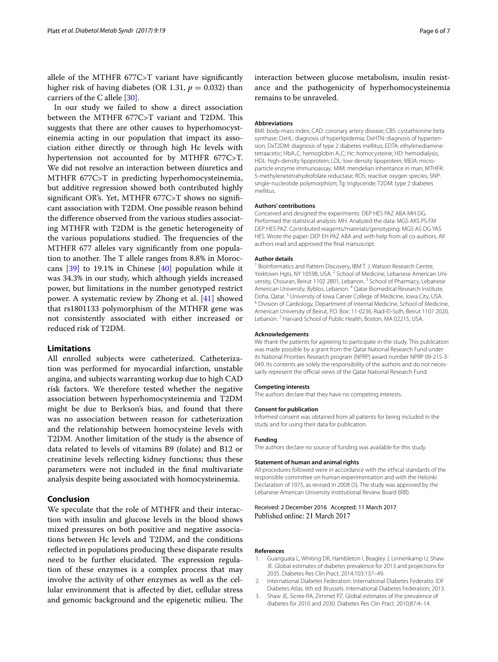allele of the MTHFR 677C>T variant have significantly higher risk of having diabetes (OR 1.31,  $p = 0.032$ ) than carriers of the C allele [\[30](#page-6-20)].

In our study we failed to show a direct association between the MTHFR 677C>T variant and T2DM. This suggests that there are other causes to hyperhomocysteinemia acting in our population that impact its association either directly or through high Hc levels with hypertension not accounted for by MTHFR 677C>T. We did not resolve an interaction between diuretics and MTHFR 677C>T in predicting hyperhomocysteinemia, but additive regression showed both contributed highly significant OR's. Yet, MTHFR 677C>T shows no significant association with T2DM. One possible reason behind the difference observed from the various studies associating MTHFR with T2DM is the genetic heterogeneity of the various populations studied. The frequencies of the MTHFR 677 alleles vary significantly from one population to another. The T allele ranges from 8.8% in Moroccans [\[39](#page-6-30)] to 19.1% in Chinese [[40](#page-6-31)] population while it was 34.3% in our study, which although yields increased power, but limitations in the number genotyped restrict power. A systematic review by Zhong et al. [\[41](#page-6-32)] showed that rs1801133 polymorphism of the MTHFR gene was not consistently associated with either increased or reduced risk of T2DM.

## **Limitations**

All enrolled subjects were catheterized. Catheterization was performed for myocardial infarction, unstable angina, and subjects warranting workup due to high CAD risk factors. We therefore tested whether the negative association between hyperhomocysteinemia and T2DM might be due to Berkson's bias, and found that there was no association between reason for catheterization and the relationship between homocysteine levels with T2DM. Another limitation of the study is the absence of data related to levels of vitamins B9 (folate) and B12 or creatinine levels reflecting kidney functions; thus these parameters were not included in the final multivariate analysis despite being associated with homocysteinemia.

## **Conclusion**

We speculate that the role of MTHFR and their interaction with insulin and glucose levels in the blood shows mixed pressures on both positive and negative associations between Hc levels and T2DM, and the conditions reflected in populations producing these disparate results need to be further elucidated. The expression regulation of these enzymes is a complex process that may involve the activity of other enzymes as well as the cellular environment that is affected by diet, cellular stress and genomic background and the epigenetic milieu. The

#### **Abbreviations**

BMI: body-mass index; CAD: coronary artery disease; CBS: cystathionine beta synthase; DxHL: diagnosis of hyperlipidemia; DxHTN: diagnosis of hypertension; DxT2DM: diagnosis of type 2 diabetes mellitus; EDTA: ethylenediaminetetraacetic; HbA<sub>1</sub>C: hemoglobin A<sub>1</sub>C; Hc: homocysteine; HD: hemodialysis; HDL: high-density lipoprotein; LDL: low-density lipoprotein; MEIA: microparticle enzyme immunoassay; MIM: mendelian inheritance in man; MTHFR: 5-methylenetetrahydrofolate reductase; ROS: reactive oxygen species; SNP: single-nucleotide polymorphism; Tg: triglyceride; T2DM: type 2 diabetes mellitus.

#### **Authors' contributions**

Conceived and designed the experiments: DEP HES PAZ ABA MH DG. Performed the statistical analysis: MH. Analyzed the data: MGS AKS PS FM DEP HES PAZ. Contributed reagents/materials/genotyping: MGS AS DG YAS HES. Wrote the paper: DEP EH PAZ ABA and with help from all co-authors. All authors read and approved the final manuscript.

#### **Author details**

<sup>1</sup> Bioinformatics and Pattern Discovery, IBM T. J. Watson Research Centre, Yorktown Hgts, NY 10598, USA.<sup>2</sup> School of Medicine, Lebanese American University, Chouran, Beirut 1102 2801, Lebanon.<sup>3</sup> School of Pharmacy, Lebanese American University, Byblos, Lebanon. 4 Qatar Biomedical Research Institute, Doha, Qatar. <sup>5</sup> University of Iowa Carver College of Medicine, Iowa City, USA.<br><sup>6</sup> Division of Cardiology, Department of Internal Medicine, School of Medicine, American University of Beirut, P.O. Box: 11‑0236, Riad‑El‑Solh, Beirut 1107 2020, Lebanon.<sup>7</sup> Harvard School of Public Health, Boston, MA 02215, USA.

#### **Acknowledgements**

We thank the patients for agreeing to participate in the study. This publication was made possible by a grant from the Qatar National Research Fund under its National Priorities Research program (NPRP) award number NPRP 09-215-3-049. Its contents are solely the responsibility of the authors and do not necessarily represent the official views of the Qatar National Research Fund.

#### **Competing interests**

The authors declare that they have no competing interests.

## **Consent for publication**

Informed consent was obtained from all patients for being included in the study and for using their data for publication.

#### **Funding**

The authors declare no source of funding was available for this study.

#### **Statement of human and animal rights**

All procedures followed were in accordance with the ethical standards of the responsible committee on human experimentation and with the Helsinki Declaration of 1975, as revised in 2008 (5). The study was approved by the Lebanese American University Institutional Review Board (IRB).

## Received: 2 December 2016 Accepted: 11 March 2017 Published online: 21 March 2017

#### **References**

- <span id="page-5-0"></span>1. Guariguata L, Whiting DR, Hambleton I, Beagley J, Linnenkamp U, Shaw JE. Global estimates of diabetes prevalence for 2013 and projections for 2035. Diabetes Res Clin Pract. 2014;103:137–49.
- <span id="page-5-1"></span>2. International Diabetes Federation. International Diabetes Federatio. IDF Diabetes Atlas. 6th ed. Brussels: International Diabetes Federation; 2013.
- <span id="page-5-2"></span>3. Shaw JE, Sicree RA, Zimmet PZ. Global estimates of the prevalence of diabetes for 2010 and 2030. Diabetes Res Clin Pract. 2010;87:4–14.